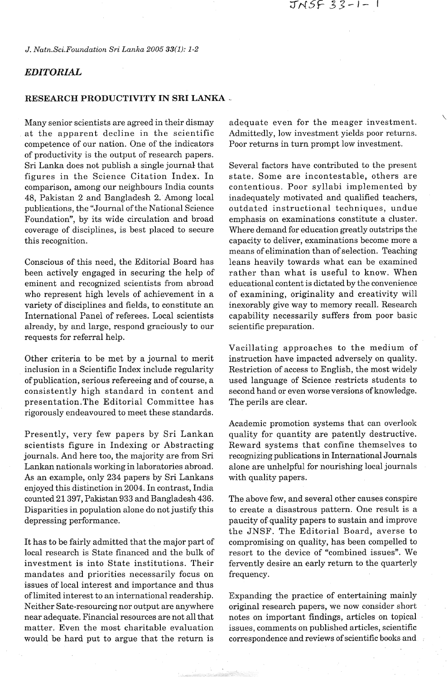JNSF 33-1- 1

*J. Natn.Sci.Foundation Sri Lanka 2005 33(1): 1-2* 

## *EDITORIAL*

## **RESEARCH PRODUCTIVITY IN SRI LANKA** -

Many senior scientists are agreed in their dismay at the apparent decline in the scientific competence of our nation. One of the indicators of productivity is the output of research papers. Sri Lanka does not publish a single journal that figures in the Science Citation Index. In comparison, among our neighbours India counts 48, Pakistan 2 and Bangladesh 2. Among local publications, the "Journal of the National Science Foundation", by its wide circulation and broad coverage of disciplines, is best placed to secure this recognition.

Conscious of this need, the Editorial Board has been actively engaged in securing the help of eminent and recognized scientists from abroad who represent high levels of achievement in a variety of disciplines and fields, to constitute an International Panel of referees. Local scientists already, by and large, respond graciously to our requests for referral help.

Other criteria to be met by a journal to merit inclusion in a Scientific Index include regularity of publication, serious refereeing and of course, a consistently high standard in content and presentation.The Editorial Committee has rigorously endeavoured to meet these standards.

Presently, very few papers by Sri Lankan scientists figure in Indexing or Abstracting journals. And here too, the majority are from Sri Lankan nationals working in laboratories abroad. As an example, only 234 papers by Sri Lankans enjoyed this distinction in 2004. In contrast, India counted 21 397, Pakistan 933 and Bangladesh 436. Disparities in population alone do not justify this depressing performance.

It has to be fairly admitted that the major part of local research is State financed and the bulk of investment is into State institutions. Their mandates and priorities necessarily focus on issues of local interest and importance and thus of limited interest to an international readership. Neither Sate-resourcing nor output are anywhere near adequate. Financial resources are not all that matter. Even the most charitable evaluation would be hard put to argue that the return is

adequate even for the meager investment. Admittedly, low investment yields poor returns. Poor returns in turn prompt low investment.

Several factors have contributed to the present state. Some are incontestable, others are contentious. Poor syllabi implemented by inadequately motivated and qualified teachers, outdated instructional techniques, undue emphasis on examinations constitute a cluster. Where demand for education greatly outstrips the capacity to deliver, examinations become more a means of elimination than of selection. Teaching leans heavily towards what can be examined rather than what is useful to know. When educational content is dictated by the convenience of examining, originality and creativity will inexorably give way to memory recall. Research capability necessarily suffers from poor basic scientific preparation.

Vacillating approaches to the medium of instruction have impacted adversely on quality. Restriction of access to English, the most widely used language of Science restricts students to second hand or even worse versions of knowledge. The perils are clear.

Academic promotion systems that can overlook quality for quantity are patently destructive. Reward systems that confine themselves to recognizing publications in International Journals alone are unhelpful for nourishing local journals with quality papers.

The above few, and several other causes conspire to create a disastrous pattern. One result is a paucity of quality papers to sustain and improve the JNSF. The Editorial Board, averse to compromising on quality, has been compelled to resort to the device of "combined issues". We fervently desire an early return to the quarterly frequency.

Expanding the practice of entertaining mainly original research papers, we now consider short notes on important findings, articles on topical issues, comments on published articles, scientific correspondence and reviews of scientific books and